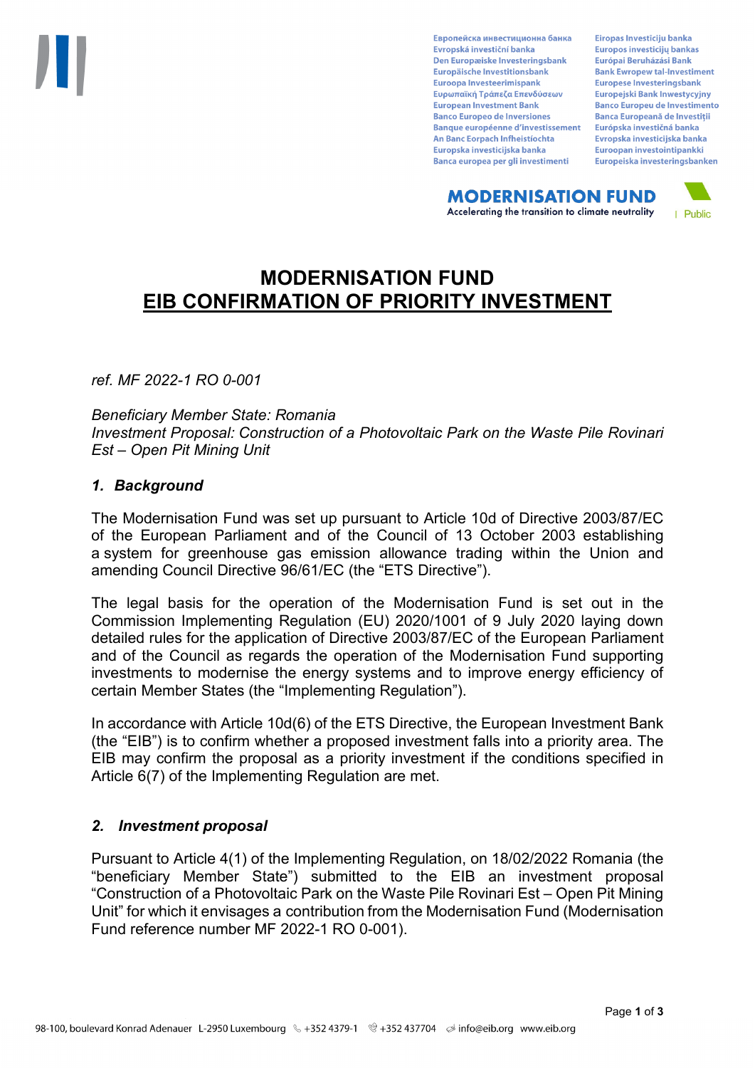Европейска инвестиционна банка Evropská investiční banka Den Europæiske Investeringsbank Europäische Investitionsbank Euroopa Investeerimispank Ευρωπαϊκή Τράπεζα Επενδύσεων **European Investment Bank Banco Europeo de Inversiones Banque européenne d'investissement** An Banc Eorpach Infheistíochta Europska investicijska banka Banca europea per gli investimenti

Eiropas Investīciju banka Europos investicijų bankas Európai Beruházási Bank **Bank Ewropew tal-Investiment** Europese Investeringsbank **Europeiski Bank Inwestycviny Banco Europeu de Investimento Banca Europeană de Investiții** Európska investičná banka Evropska investicijska banka Euroopan investointipankki Europeiska investeringsbanken

**MODERNISATION FUND** Accelerating the transition to climate neutrality



# **MODERNISATION FUND EIB CONFIRMATION OF PRIORITY INVESTMENT**

*ref. MF 2022-1 RO 0-001*

*Beneficiary Member State: Romania Investment Proposal: Construction of a Photovoltaic Park on the Waste Pile Rovinari Est – Open Pit Mining Unit*

### *1. Background*

The Modernisation Fund was set up pursuant to Article 10d of Directive 2003/87/EC of the European Parliament and of the Council of 13 October 2003 establishing a system for greenhouse gas emission allowance trading within the Union and amending Council Directive 96/61/EC (the "ETS Directive").

The legal basis for the operation of the Modernisation Fund is set out in the Commission Implementing Regulation (EU) 2020/1001 of 9 July 2020 laying down detailed rules for the application of Directive 2003/87/EC of the European Parliament and of the Council as regards the operation of the Modernisation Fund supporting investments to modernise the energy systems and to improve energy efficiency of certain Member States (the "Implementing Regulation").

In accordance with Article 10d(6) of the ETS Directive, the European Investment Bank (the "EIB") is to confirm whether a proposed investment falls into a priority area. The EIB may confirm the proposal as a priority investment if the conditions specified in Article 6(7) of the Implementing Regulation are met.

### *2. Investment proposal*

Pursuant to Article 4(1) of the Implementing Regulation, on 18/02/2022 Romania (the "beneficiary Member State") submitted to the EIB an investment proposal "Construction of a Photovoltaic Park on the Waste Pile Rovinari Est – Open Pit Mining Unit" for which it envisages a contribution from the Modernisation Fund (Modernisation Fund reference number MF 2022-1 RO 0-001).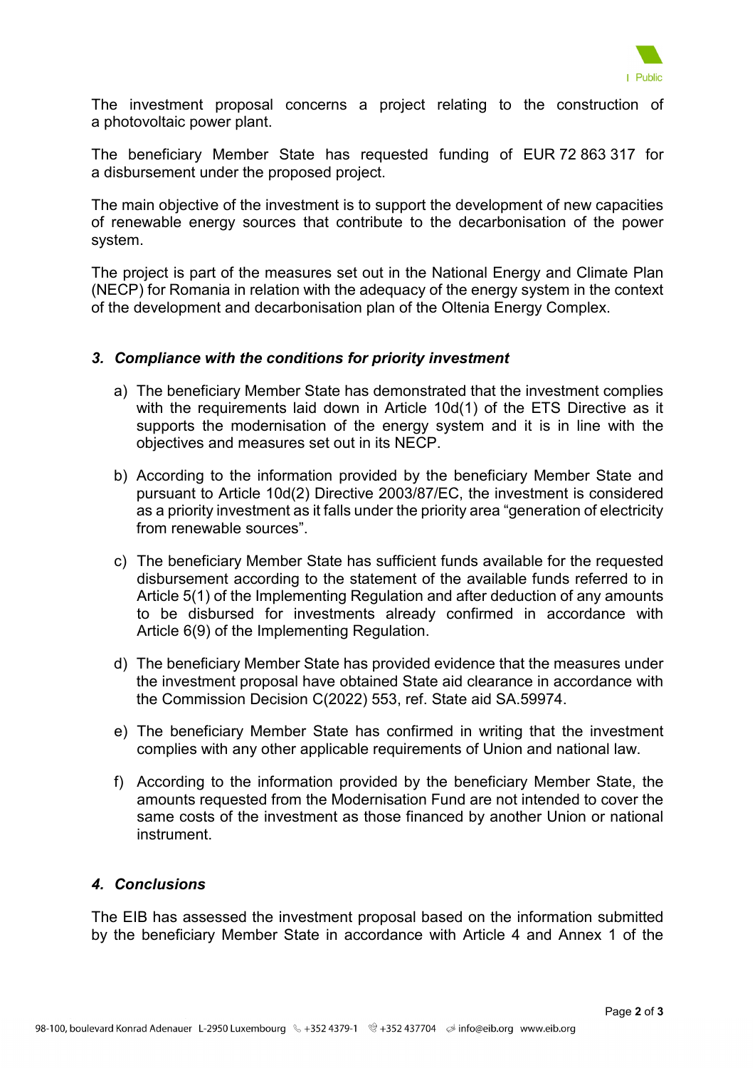

The investment proposal concerns a project relating to the construction of a photovoltaic power plant.

The beneficiary Member State has requested funding of EUR 72 863 317 for a disbursement under the proposed project.

The main objective of the investment is to support the development of new capacities of renewable energy sources that contribute to the decarbonisation of the power system.

The project is part of the measures set out in the National Energy and Climate Plan (NECP) for Romania in relation with the adequacy of the energy system in the context of the development and decarbonisation plan of the Oltenia Energy Complex.

### *3. Compliance with the conditions for priority investment*

- a) The beneficiary Member State has demonstrated that the investment complies with the requirements laid down in Article 10d(1) of the ETS Directive as it supports the modernisation of the energy system and it is in line with the objectives and measures set out in its NECP.
- b) According to the information provided by the beneficiary Member State and pursuant to Article 10d(2) Directive 2003/87/EC, the investment is considered as a priority investment as it falls under the priority area "generation of electricity from renewable sources".
- c) The beneficiary Member State has sufficient funds available for the requested disbursement according to the statement of the available funds referred to in Article 5(1) of the Implementing Regulation and after deduction of any amounts to be disbursed for investments already confirmed in accordance with Article 6(9) of the Implementing Regulation.
- d) The beneficiary Member State has provided evidence that the measures under the investment proposal have obtained State aid clearance in accordance with the Commission Decision C(2022) 553, ref. State aid SA.59974.
- e) The beneficiary Member State has confirmed in writing that the investment complies with any other applicable requirements of Union and national law.
- f) According to the information provided by the beneficiary Member State, the amounts requested from the Modernisation Fund are not intended to cover the same costs of the investment as those financed by another Union or national instrument.

## *4. Conclusions*

The EIB has assessed the investment proposal based on the information submitted by the beneficiary Member State in accordance with Article 4 and Annex 1 of the